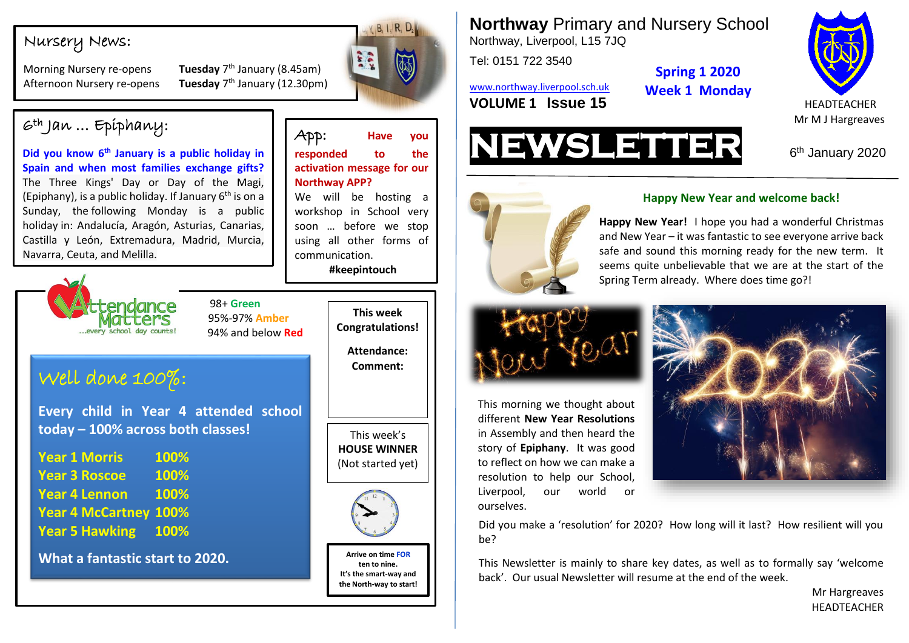### Nursery News:

**Morning Nursery re-opens Afternoon Nursery re-opens**  Tuesday 7<sup>th</sup> January (8.45am) Tuesday  $7<sup>th</sup>$  January (12.30pm)



App: **Have you responded to the activation message for our** 

We will be hosting a workshop in School very soon … before we stop using all other forms of

**#keepintouch**

**Northway APP?**

communication.

**Northway** Primary and Nursery School Northway, Liverpool, L15 7JQ

Tel: 0151 722 3540

[www.northway.liverpool.sch.uk](http://www.northway.liverpool.sch.uk/) **Spring 1 2020 Week 1 Monday**





6<sup>th</sup> January 2020



This morning we thought about different **New Year Resolutions** in Assembly and then heard the story of **Epiphany**. It was good to reflect on how we can make a resolution to help our School, Liverpool, our world or

ourselves.

### **Happy New Year and welcome back!**

Spring Term already. Where does time go?! **Happy New Year!** I hope you had a wonderful Christmas and New Year – it was fantastic to see everyone arrive back safe and sound this morning ready for the new term. It seems quite unbelievable that we are at the start of the



Did you make a 'resolution' for 2020? How long will it last? How resilient will you he?

This Newsletter is mainly to share key dates, as well as to formally say 'welcome back'. Our usual Newsletter will resume at the end of the week.

> Mr Hargreaves HEADTEACHER

 $6th$  Jan ... Epiphany:

**Did you know 6th January is a public holiday in Spain and when most families exchange gifts?** The Three Kings' Day or Day of the Magi, (Epiphany), is a public holiday. If January  $6<sup>th</sup>$  is on a Sunday, the [following Monday is a public](https://www.timeanddate.com/holidays/spain/epiphany-observed)  [holiday](https://www.timeanddate.com/holidays/spain/epiphany-observed) in: Andalucía, Aragón, Asturias, Canarias, Castilla y León, Extremadura, Madrid, Murcia, Navarra, Ceuta, and Melilla.



 98+ **Green** 95%-97% **Amber**

# Well done 100%:

**Every child in Year 4 attended school today – 100% across both classes!**

**0 Year 1 Morris 100% Year 3 Roscoe 100% Year 4 Lennon 100% Year 4 McCartney 100% Year 5 Hawking 100%**

**What a fantastic start to 2020.**



This week's **HOUSE WINNER** (Not started yet)



**Arrive on time FOR ten to nine. It's the smart-way and the North-way to start!**